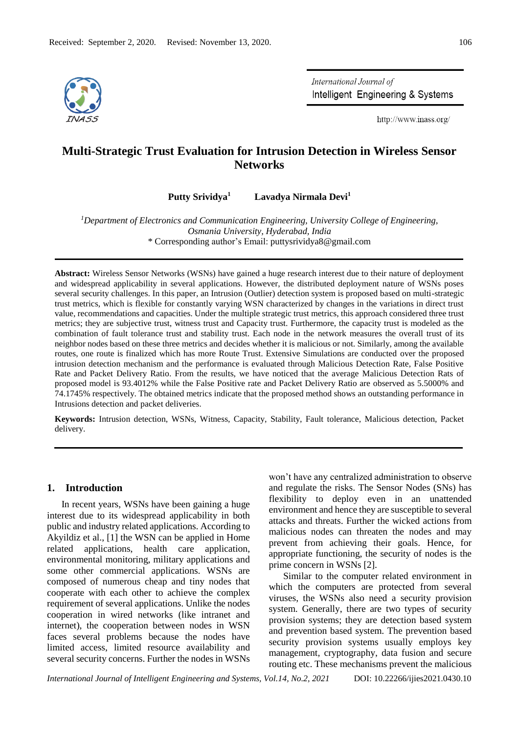

International Journal of Intelligent Engineering & Systems

http://www.inass.org/

# **Multi-Strategic Trust Evaluation for Intrusion Detection in Wireless Sensor Networks**

**Putty Srividya<sup>1</sup> Lavadya Nirmala Devi<sup>1</sup>**

*<sup>1</sup>Department of Electronics and Communication Engineering, University College of Engineering, Osmania University, Hyderabad, India* \* Corresponding author's Email: puttysrividya8@gmail.com

**Abstract:** Wireless Sensor Networks (WSNs) have gained a huge research interest due to their nature of deployment and widespread applicability in several applications. However, the distributed deployment nature of WSNs poses several security challenges. In this paper, an Intrusion (Outlier) detection system is proposed based on multi-strategic trust metrics, which is flexible for constantly varying WSN characterized by changes in the variations in direct trust value, recommendations and capacities. Under the multiple strategic trust metrics, this approach considered three trust metrics; they are subjective trust, witness trust and Capacity trust. Furthermore, the capacity trust is modeled as the combination of fault tolerance trust and stability trust. Each node in the network measures the overall trust of its neighbor nodes based on these three metrics and decides whether it is malicious or not. Similarly, among the available routes, one route is finalized which has more Route Trust. Extensive Simulations are conducted over the proposed intrusion detection mechanism and the performance is evaluated through Malicious Detection Rate, False Positive Rate and Packet Delivery Ratio. From the results, we have noticed that the average Malicious Detection Rats of proposed model is 93.4012% while the False Positive rate and Packet Delivery Ratio are observed as 5.5000% and 74.1745% respectively. The obtained metrics indicate that the proposed method shows an outstanding performance in Intrusions detection and packet deliveries.

**Keywords:** Intrusion detection, WSNs, Witness, Capacity, Stability, Fault tolerance, Malicious detection, Packet delivery.

#### **1. Introduction**

In recent years, WSNs have been gaining a huge interest due to its widespread applicability in both public and industry related applications. According to Akyildiz et al., [1] the WSN can be applied in Home related applications, health care application, environmental monitoring, military applications and some other commercial applications. WSNs are composed of numerous cheap and tiny nodes that cooperate with each other to achieve the complex requirement of several applications. Unlike the nodes cooperation in wired networks (like intranet and internet), the cooperation between nodes in WSN faces several problems because the nodes have limited access, limited resource availability and several security concerns. Further the nodes in WSNs

won't have any centralized administration to observe and regulate the risks. The Sensor Nodes (SNs) has flexibility to deploy even in an unattended environment and hence they are susceptible to several attacks and threats. Further the wicked actions from malicious nodes can threaten the nodes and may prevent from achieving their goals. Hence, for appropriate functioning, the security of nodes is the prime concern in WSNs [2].

Similar to the computer related environment in which the computers are protected from several viruses, the WSNs also need a security provision system. Generally, there are two types of security provision systems; they are detection based system and prevention based system. The prevention based security provision systems usually employs key management, cryptography, data fusion and secure routing etc. These mechanisms prevent the malicious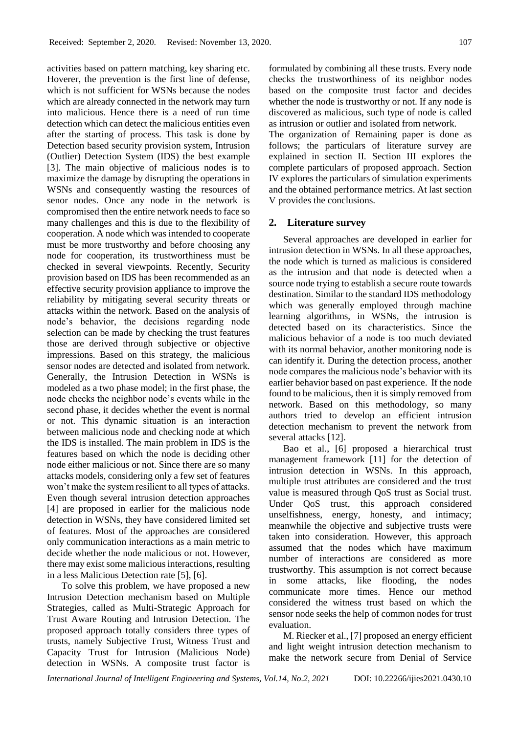activities based on pattern matching, key sharing etc. Hoverer, the prevention is the first line of defense, which is not sufficient for WSNs because the nodes which are already connected in the network may turn into malicious. Hence there is a need of run time detection which can detect the malicious entities even after the starting of process. This task is done by Detection based security provision system, Intrusion (Outlier) Detection System (IDS) the best example [3]. The main objective of malicious nodes is to maximize the damage by disrupting the operations in WSNs and consequently wasting the resources of senor nodes. Once any node in the network is compromised then the entire network needs to face so many challenges and this is due to the flexibility of cooperation. A node which was intended to cooperate must be more trustworthy and before choosing any node for cooperation, its trustworthiness must be checked in several viewpoints. Recently, Security provision based on IDS has been recommended as an effective security provision appliance to improve the reliability by mitigating several security threats or attacks within the network. Based on the analysis of node's behavior, the decisions regarding node selection can be made by checking the trust features those are derived through subjective or objective impressions. Based on this strategy, the malicious sensor nodes are detected and isolated from network. Generally, the Intrusion Detection in WSNs is modeled as a two phase model; in the first phase, the node checks the neighbor node's events while in the second phase, it decides whether the event is normal or not. This dynamic situation is an interaction between malicious node and checking node at which the IDS is installed. The main problem in IDS is the features based on which the node is deciding other node either malicious or not. Since there are so many attacks models, considering only a few set of features won't make the system resilient to all types of attacks. Even though several intrusion detection approaches [4] are proposed in earlier for the malicious node detection in WSNs, they have considered limited set of features. Most of the approaches are considered only communication interactions as a main metric to decide whether the node malicious or not. However, there may exist some malicious interactions, resulting in a less Malicious Detection rate [5], [6].

To solve this problem, we have proposed a new Intrusion Detection mechanism based on Multiple Strategies, called as Multi-Strategic Approach for Trust Aware Routing and Intrusion Detection. The proposed approach totally considers three types of trusts, namely Subjective Trust, Witness Trust and Capacity Trust for Intrusion (Malicious Node) detection in WSNs. A composite trust factor is

formulated by combining all these trusts. Every node checks the trustworthiness of its neighbor nodes based on the composite trust factor and decides whether the node is trustworthy or not. If any node is discovered as malicious, such type of node is called as intrusion or outlier and isolated from network. The organization of Remaining paper is done as follows; the particulars of literature survey are explained in section II. Section III explores the complete particulars of proposed approach. Section IV explores the particulars of simulation experiments and the obtained performance metrics. At last section

### **2. Literature survey**

V provides the conclusions.

Several approaches are developed in earlier for intrusion detection in WSNs. In all these approaches, the node which is turned as malicious is considered as the intrusion and that node is detected when a source node trying to establish a secure route towards destination. Similar to the standard IDS methodology which was generally employed through machine learning algorithms, in WSNs, the intrusion is detected based on its characteristics. Since the malicious behavior of a node is too much deviated with its normal behavior, another monitoring node is can identify it. During the detection process, another node compares the malicious node's behavior with its earlier behavior based on past experience. If the node found to be malicious, then it is simply removed from network. Based on this methodology, so many authors tried to develop an efficient intrusion detection mechanism to prevent the network from several attacks [12].

Bao et al., [6] proposed a hierarchical trust management framework [11] for the detection of intrusion detection in WSNs. In this approach, multiple trust attributes are considered and the trust value is measured through QoS trust as Social trust. Under QoS trust, this approach considered unselfishness, energy, honesty, and intimacy; meanwhile the objective and subjective trusts were taken into consideration. However, this approach assumed that the nodes which have maximum number of interactions are considered as more trustworthy. This assumption is not correct because in some attacks, like flooding, the nodes communicate more times. Hence our method considered the witness trust based on which the sensor node seeks the help of common nodes for trust evaluation.

M. Riecker et al., [7] proposed an energy efficient and light weight intrusion detection mechanism to make the network secure from Denial of Service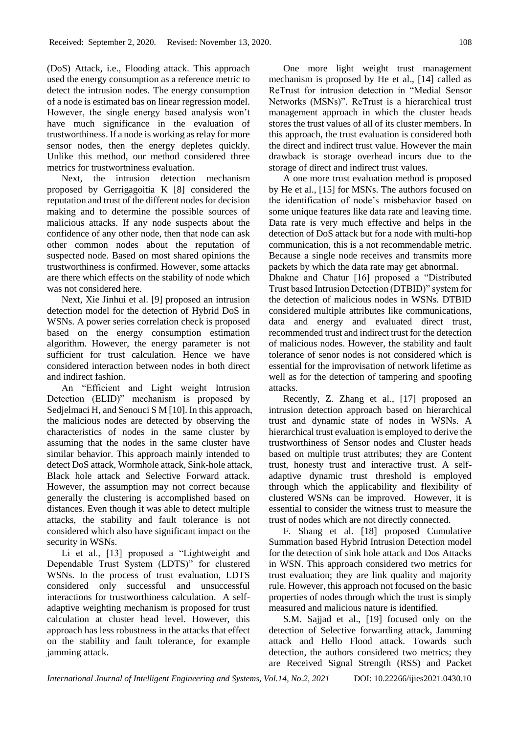(DoS) Attack, i.e., Flooding attack. This approach used the energy consumption as a reference metric to detect the intrusion nodes. The energy consumption of a node is estimated bas on linear regression model. However, the single energy based analysis won't have much significance in the evaluation of trustworthiness. If a node is working as relay for more sensor nodes, then the energy depletes quickly. Unlike this method, our method considered three metrics for trustwortniness evaluation.

Next, the intrusion detection mechanism proposed by Gerrigagoitia K [8] considered the reputation and trust of the different nodes for decision making and to determine the possible sources of malicious attacks. If any node suspects about the confidence of any other node, then that node can ask other common nodes about the reputation of suspected node. Based on most shared opinions the trustworthiness is confirmed. However, some attacks are there which effects on the stability of node which was not considered here.

Next, Xie Jinhui et al. [9] proposed an intrusion detection model for the detection of Hybrid DoS in WSNs. A power series correlation check is proposed based on the energy consumption estimation algorithm. However, the energy parameter is not sufficient for trust calculation. Hence we have considered interaction between nodes in both direct and indirect fashion.

An "Efficient and Light weight Intrusion Detection (ELID)" mechanism is proposed by Sedjelmaci H, and Senouci S M [10]. In this approach, the malicious nodes are detected by observing the characteristics of nodes in the same cluster by assuming that the nodes in the same cluster have similar behavior. This approach mainly intended to detect DoS attack, Wormhole attack, Sink-hole attack, Black hole attack and Selective Forward attack. However, the assumption may not correct because generally the clustering is accomplished based on distances. Even though it was able to detect multiple attacks, the stability and fault tolerance is not considered which also have significant impact on the security in WSNs.

Li et al., [13] proposed a "Lightweight and Dependable Trust System (LDTS)" for clustered WSNs. In the process of trust evaluation, LDTS considered only successful and unsuccessful interactions for trustworthiness calculation. A selfadaptive weighting mechanism is proposed for trust calculation at cluster head level. However, this approach has less robustness in the attacks that effect on the stability and fault tolerance, for example jamming attack.

One more light weight trust management mechanism is proposed by He et al., [14] called as ReTrust for intrusion detection in "Medial Sensor Networks (MSNs)". ReTrust is a hierarchical trust management approach in which the cluster heads stores the trust values of all of its cluster members. In this approach, the trust evaluation is considered both the direct and indirect trust value. However the main drawback is storage overhead incurs due to the storage of direct and indirect trust values.

A one more trust evaluation method is proposed by He et al., [15] for MSNs. The authors focused on the identification of node's misbehavior based on some unique features like data rate and leaving time. Data rate is very much effective and helps in the detection of DoS attack but for a node with multi-hop communication, this is a not recommendable metric. Because a single node receives and transmits more packets by which the data rate may get abnormal.

Dhakne and Chatur [16] proposed a "Distributed Trust based Intrusion Detection (DTBID)" system for the detection of malicious nodes in WSNs. DTBID considered multiple attributes like communications, data and energy and evaluated direct trust, recommended trust and indirect trust for the detection of malicious nodes. However, the stability and fault tolerance of senor nodes is not considered which is essential for the improvisation of network lifetime as well as for the detection of tampering and spoofing attacks.

Recently, Z. Zhang et al., [17] proposed an intrusion detection approach based on hierarchical trust and dynamic state of nodes in WSNs. A hierarchical trust evaluation is employed to derive the trustworthiness of Sensor nodes and Cluster heads based on multiple trust attributes; they are Content trust, honesty trust and interactive trust. A selfadaptive dynamic trust threshold is employed through which the applicability and flexibility of clustered WSNs can be improved. However, it is essential to consider the witness trust to measure the trust of nodes which are not directly connected.

F. Shang et al. [18] proposed Cumulative Summation based Hybrid Intrusion Detection model for the detection of sink hole attack and Dos Attacks in WSN. This approach considered two metrics for trust evaluation; they are link quality and majority rule. However, this approach not focused on the basic properties of nodes through which the trust is simply measured and malicious nature is identified.

S.M. Sajjad et al., [19] focused only on the detection of Selective forwarding attack, Jamming attack and Hello Flood attack. Towards such detection, the authors considered two metrics; they are Received Signal Strength (RSS) and Packet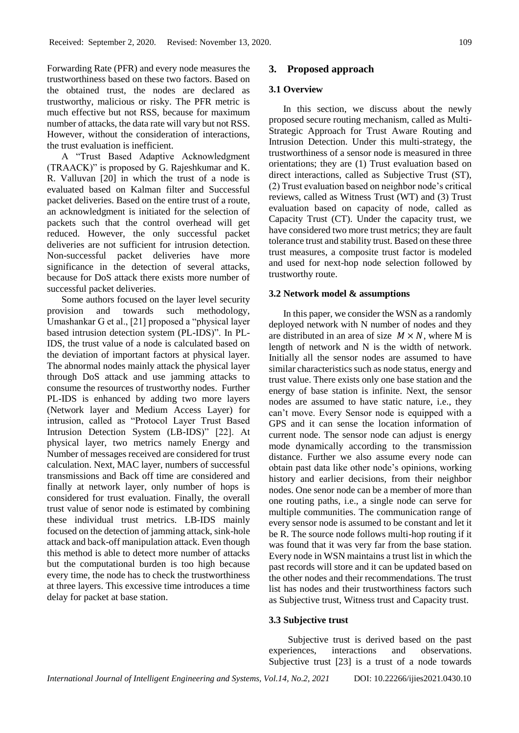Forwarding Rate (PFR) and every node measures the trustworthiness based on these two factors. Based on the obtained trust, the nodes are declared as trustworthy, malicious or risky. The PFR metric is much effective but not RSS, because for maximum number of attacks, the data rate will vary but not RSS. However, without the consideration of interactions, the trust evaluation is inefficient.

A "Trust Based Adaptive Acknowledgment (TRAACK)" is proposed by G. Rajeshkumar and K. R. Valluvan [20] in which the trust of a node is evaluated based on Kalman filter and Successful packet deliveries. Based on the entire trust of a route, an acknowledgment is initiated for the selection of packets such that the control overhead will get reduced. However, the only successful packet deliveries are not sufficient for intrusion detection. Non-successful packet deliveries have more significance in the detection of several attacks, because for DoS attack there exists more number of successful packet deliveries.

Some authors focused on the layer level security provision and towards such methodology, Umashankar G et al., [21] proposed a "physical layer based intrusion detection system (PL-IDS)". In PL-IDS, the trust value of a node is calculated based on the deviation of important factors at physical layer. The abnormal nodes mainly attack the physical layer through DoS attack and use jamming attacks to consume the resources of trustworthy nodes. Further PL-IDS is enhanced by adding two more layers (Network layer and Medium Access Layer) for intrusion, called as "Protocol Layer Trust Based Intrusion Detection System (LB-IDS)" [22]. At physical layer, two metrics namely Energy and Number of messages received are considered for trust calculation. Next, MAC layer, numbers of successful transmissions and Back off time are considered and finally at network layer, only number of hops is considered for trust evaluation. Finally, the overall trust value of senor node is estimated by combining these individual trust metrics. LB-IDS mainly focused on the detection of jamming attack, sink-hole attack and back-off manipulation attack. Even though this method is able to detect more number of attacks but the computational burden is too high because every time, the node has to check the trustworthiness at three layers. This excessive time introduces a time delay for packet at base station.

# **3. Proposed approach**

#### **3.1 Overview**

In this section, we discuss about the newly proposed secure routing mechanism, called as Multi-Strategic Approach for Trust Aware Routing and Intrusion Detection. Under this multi-strategy, the trustworthiness of a sensor node is measured in three orientations; they are (1) Trust evaluation based on direct interactions, called as Subjective Trust (ST), (2) Trust evaluation based on neighbor node's critical reviews, called as Witness Trust (WT) and (3) Trust evaluation based on capacity of node, called as Capacity Trust (CT). Under the capacity trust, we have considered two more trust metrics; they are fault tolerance trust and stability trust. Based on these three trust measures, a composite trust factor is modeled and used for next-hop node selection followed by trustworthy route.

#### **3.2 Network model & assumptions**

In this paper, we consider the WSN as a randomly deployed network with N number of nodes and they are distributed in an area of size  $M \times N$ , where M is length of network and N is the width of network. Initially all the sensor nodes are assumed to have similar characteristics such as node status, energy and trust value. There exists only one base station and the energy of base station is infinite. Next, the sensor nodes are assumed to have static nature, i.e., they can't move. Every Sensor node is equipped with a GPS and it can sense the location information of current node. The sensor node can adjust is energy mode dynamically according to the transmission distance. Further we also assume every node can obtain past data like other node's opinions, working history and earlier decisions, from their neighbor nodes. One senor node can be a member of more than one routing paths, i.e., a single node can serve for multiple communities. The communication range of every sensor node is assumed to be constant and let it be R. The source node follows multi-hop routing if it was found that it was very far from the base station. Every node in WSN maintains a trust list in which the past records will store and it can be updated based on the other nodes and their recommendations. The trust list has nodes and their trustworthiness factors such as Subjective trust, Witness trust and Capacity trust.

#### **3.3 Subjective trust**

Subjective trust is derived based on the past experiences, interactions and observations. Subjective trust [23] is a trust of a node towards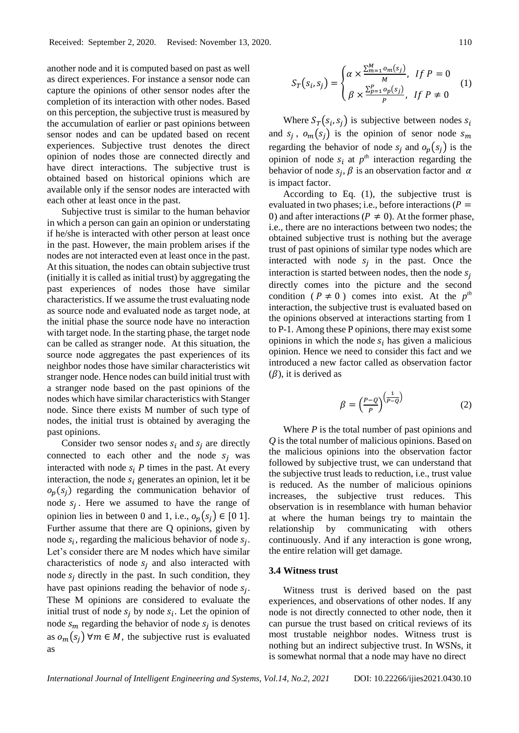another node and it is computed based on past as well as direct experiences. For instance a sensor node can capture the opinions of other sensor nodes after the completion of its interaction with other nodes. Based on this perception, the subjective trust is measured by the accumulation of earlier or past opinions between sensor nodes and can be updated based on recent experiences. Subjective trust denotes the direct opinion of nodes those are connected directly and have direct interactions. The subjective trust is obtained based on historical opinions which are available only if the sensor nodes are interacted with each other at least once in the past.

Subjective trust is similar to the human behavior in which a person can gain an opinion or understating if he/she is interacted with other person at least once in the past. However, the main problem arises if the nodes are not interacted even at least once in the past. At this situation, the nodes can obtain subjective trust (initially it is called as initial trust) by aggregating the past experiences of nodes those have similar characteristics. If we assume the trust evaluating node as source node and evaluated node as target node, at the initial phase the source node have no interaction with target node. In the starting phase, the target node can be called as stranger node. At this situation, the source node aggregates the past experiences of its neighbor nodes those have similar characteristics wit stranger node. Hence nodes can build initial trust with a stranger node based on the past opinions of the nodes which have similar characteristics with Stanger node. Since there exists M number of such type of nodes, the initial trust is obtained by averaging the past opinions.

Consider two sensor nodes  $s_i$  and  $s_j$  are directly connected to each other and the node  $s_i$  was interacted with node  $s_i$  P times in the past. At every interaction, the node  $s_i$  generates an opinion, let it be  $o_n(s_i)$  regarding the communication behavior of node  $s_j$ . Here we assumed to have the range of opinion lies in between 0 and 1, i.e.,  $o_p(s_i) \in [0 \ 1]$ . Further assume that there are Q opinions, given by node  $s_i$ , regarding the malicious behavior of node  $s_j$ . Let's consider there are M nodes which have similar characteristics of node  $s_i$  and also interacted with node  $s_i$  directly in the past. In such condition, they have past opinions reading the behavior of node  $s_j$ . These M opinions are considered to evaluate the initial trust of node  $s_j$  by node  $s_i$ . Let the opinion of node  $s_m$  regarding the behavior of node  $s_j$  is denotes as  $o_m(s_i)$   $\forall m \in M$ , the subjective rust is evaluated as

$$
S_T(s_i, s_j) = \begin{cases} \alpha \times \frac{\sum_{m=1}^{M} o_m(s_j)}{M}, & \text{if } P = 0\\ \beta \times \frac{\sum_{p=1}^{P} o_p(s_j)}{P}, & \text{if } P \neq 0 \end{cases} \tag{1}
$$

Where  $S_T(s_i, s_j)$  is subjective between nodes  $s_i$ and  $s_j$ ,  $o_m(s_j)$  is the opinion of senor node  $s_m$ regarding the behavior of node  $s_j$  and  $o_p(s_j)$  is the opinion of node  $s_i$  at  $p^{th}$  interaction regarding the behavior of node  $s_j$ ,  $\beta$  is an observation factor and  $\alpha$ is impact factor.

According to Eq. (1), the subjective trust is evaluated in two phases; i.e., before interactions ( $P =$ 0) and after interactions ( $P \neq 0$ ). At the former phase, i.e., there are no interactions between two nodes; the obtained subjective trust is nothing but the average trust of past opinions of similar type nodes which are interacted with node  $s_j$  in the past. Once the interaction is started between nodes, then the node  $s_i$ directly comes into the picture and the second condition ( $P \neq 0$ ) comes into exist. At the  $p^{th}$ interaction, the subjective trust is evaluated based on the opinions observed at interactions starting from 1 to P-1. Among these P opinions, there may exist some opinions in which the node  $s_i$  has given a malicious opinion. Hence we need to consider this fact and we introduced a new factor called as observation factor  $(\beta)$ , it is derived as

$$
\beta = \left(\frac{P-Q}{P}\right)^{\left(\frac{1}{P-Q}\right)}\tag{2}
$$

Where *P* is the total number of past opinions and *Q* is the total number of malicious opinions. Based on the malicious opinions into the observation factor followed by subjective trust, we can understand that the subjective trust leads to reduction, i.e., trust value is reduced. As the number of malicious opinions increases, the subjective trust reduces. This observation is in resemblance with human behavior at where the human beings try to maintain the relationship by communicating with others continuously. And if any interaction is gone wrong, the entire relation will get damage.

#### **3.4 Witness trust**

Witness trust is derived based on the past experiences, and observations of other nodes. If any node is not directly connected to other node, then it can pursue the trust based on critical reviews of its most trustable neighbor nodes. Witness trust is nothing but an indirect subjective trust. In WSNs, it is somewhat normal that a node may have no direct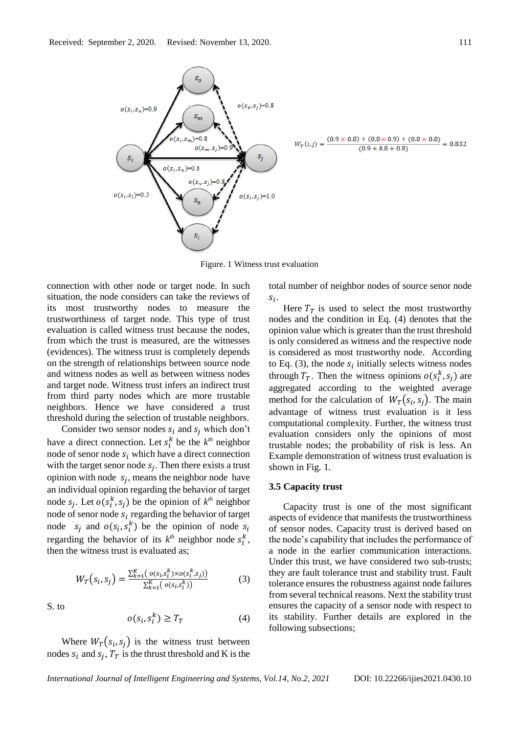

Figure. 1 Witness trust evaluation

connection with other node or target node. In such situation, the node considers can take the reviews of its most trustworthy nodes to measure the trustworthiness of target node. This type of trust evaluation is called witness trust because the nodes, from which the trust is measured, are the witnesses (evidences). The witness trust is completely depends on the strength of relationships between source node and witness nodes as well as between witness nodes and target node. Witness trust infers an indirect trust from third party nodes which are more trustable neighbors. Hence we have considered a trust threshold during the selection of trustable neighbors.

Consider two sensor nodes  $s_i$  and  $s_j$  which don't have a direct connection. Let  $s_i^k$  be the  $k^{th}$  neighbor node of senor node  $s_i$  which have a direct connection with the target senor node  $s_j$ . Then there exists a trust opinion with node  $s_j$ , means the neighbor node have an individual opinion regarding the behavior of target node  $s_j$ . Let  $o(s_i^k, s_j)$  be the opinion of  $k^{th}$  neighbor node of senor node  $s_i$  regarding the behavior of target node  $s_j$  and  $o(s_i, s_i^k)$  be the opinion of node  $s_i$ regarding the behavior of its  $k^{th}$  neighbor node  $s_i^k$ , then the witness trust is evaluated as;

$$
W_T(s_i, s_j) = \frac{\sum_{k=1}^{K} (o(s_i, s_i^k) \times o(s_i^k, s_j))}{\sum_{k=1}^{K} (o(s_i, s_i^k))}
$$
(3)

S. to

$$
o(s_i, s_i^k) \ge T_T \tag{4}
$$

Where  $W_T(s_i, s_j)$  is the witness trust between nodes  $s_i$  and  $s_j$ ,  $T_T$  is the thrust threshold and K is the total number of neighbor nodes of source senor node  $s_i$ .

Here  $T<sub>T</sub>$  is used to select the most trustworthy nodes and the condition in Eq. (4) denotes that the opinion value which is greater than the trust threshold is only considered as witness and the respective node is considered as most trustworthy node. According to Eq. (3), the node  $s_i$  initially selects witness nodes through  $T_T$ . Then the witness opinions  $o(s_i^k, s_j)$  are aggregated according to the weighted average method for the calculation of  $W_T(s_i, s_j)$ . The main advantage of witness trust evaluation is it less computational complexity. Further, the witness trust evaluation considers only the opinions of most trustable nodes; the probability of risk is less. An Example demonstration of witness trust evaluation is shown in Fig. 1.

#### **3.5 Capacity trust**

Capacity trust is one of the most significant aspects of evidence that manifests the trustworthiness of sensor nodes. Capacity trust is derived based on the node's capability that includes the performance of a node in the earlier communication interactions. Under this trust, we have considered two sub-trusts; they are fault tolerance trust and stability trust. Fault tolerance ensures the robustness against node failures from several technical reasons. Next the stability trust ensures the capacity of a sensor node with respect to its stability. Further details are explored in the following subsections;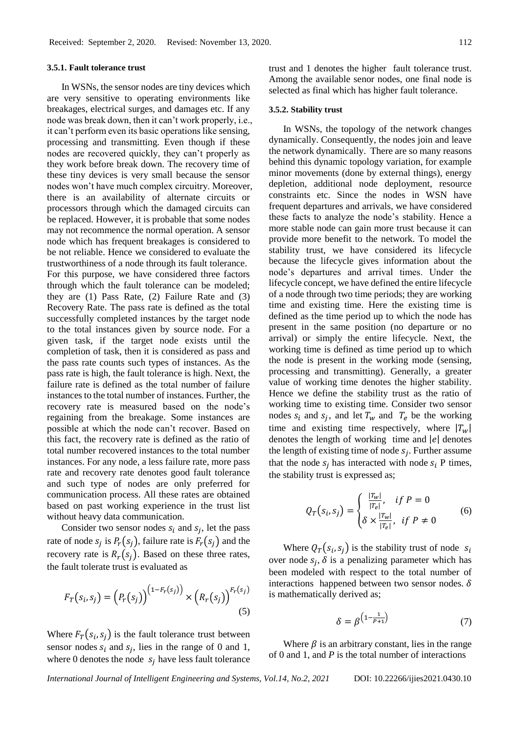In WSNs, the sensor nodes are tiny devices which are very sensitive to operating environments like breakages, electrical surges, and damages etc. If any node was break down, then it can't work properly, i.e., it can't perform even its basic operations like sensing, processing and transmitting. Even though if these nodes are recovered quickly, they can't properly as they work before break down. The recovery time of these tiny devices is very small because the sensor nodes won't have much complex circuitry. Moreover, there is an availability of alternate circuits or processors through which the damaged circuits can be replaced. However, it is probable that some nodes may not recommence the normal operation. A sensor node which has frequent breakages is considered to be not reliable. Hence we considered to evaluate the trustworthiness of a node through its fault tolerance. For this purpose, we have considered three factors through which the fault tolerance can be modeled; they are (1) Pass Rate, (2) Failure Rate and (3) Recovery Rate. The pass rate is defined as the total successfully completed instances by the target node to the total instances given by source node. For a given task, if the target node exists until the completion of task, then it is considered as pass and the pass rate counts such types of instances. As the pass rate is high, the fault tolerance is high. Next, the failure rate is defined as the total number of failure instances to the total number of instances. Further, the recovery rate is measured based on the node's regaining from the breakage. Some instances are possible at which the node can't recover. Based on this fact, the recovery rate is defined as the ratio of total number recovered instances to the total number instances. For any node, a less failure rate, more pass rate and recovery rate denotes good fault tolerance and such type of nodes are only preferred for communication process. All these rates are obtained based on past working experience in the trust list without heavy data communication.

Consider two sensor nodes  $s_i$  and  $s_j$ , let the pass rate of node  $s_j$  is  $P_r(s_j)$ , failure rate is  $F_r(s_j)$  and the recovery rate is  $R_r(s_i)$ . Based on these three rates, the fault tolerate trust is evaluated as

$$
F_T(s_i, s_j) = (P_r(s_j))^{(1 - F_r(s_j))} \times (R_r(s_j))^{F_r(s_j)}
$$
\n
$$
(5)
$$

Where  $F_T(s_i, s_j)$  is the fault tolerance trust between sensor nodes  $s_i$  and  $s_j$ , lies in the range of 0 and 1, where 0 denotes the node  $s_i$  have less fault tolerance

trust and 1 denotes the higher fault tolerance trust. Among the available senor nodes, one final node is selected as final which has higher fault tolerance.

#### **3.5.2. Stability trust**

In WSNs, the topology of the network changes dynamically. Consequently, the nodes join and leave the network dynamically. There are so many reasons behind this dynamic topology variation, for example minor movements (done by external things), energy depletion, additional node deployment, resource constraints etc. Since the nodes in WSN have frequent departures and arrivals, we have considered these facts to analyze the node's stability. Hence a more stable node can gain more trust because it can provide more benefit to the network. To model the stability trust, we have considered its lifecycle because the lifecycle gives information about the node's departures and arrival times. Under the lifecycle concept, we have defined the entire lifecycle of a node through two time periods; they are working time and existing time. Here the existing time is defined as the time period up to which the node has present in the same position (no departure or no arrival) or simply the entire lifecycle. Next, the working time is defined as time period up to which the node is present in the working mode (sensing, processing and transmitting). Generally, a greater value of working time denotes the higher stability. Hence we define the stability trust as the ratio of working time to existing time. Consider two sensor nodes  $s_i$  and  $s_j$ , and let  $T_w$  and  $T_e$  be the working time and existing time respectively, where  $|T_w|$ denotes the length of working time and  $|e|$  denotes the length of existing time of node  $s_j$ . Further assume that the node  $s_i$  has interacted with node  $s_i$  P times, the stability trust is expressed as;

$$
Q_T(s_i, s_j) = \begin{cases} \frac{|T_w|}{|T_e|}, & \text{if } P = 0\\ \delta \times \frac{|T_w|}{|T_e|}, & \text{if } P \neq 0 \end{cases} \tag{6}
$$

Where  $Q_T(s_i, s_j)$  is the stability trust of node  $s_i$ over node  $s_j$ ,  $\delta$  is a penalizing parameter which has been modeled with respect to the total number of interactions happened between two sensor nodes.  $\delta$ is mathematically derived as;

$$
\delta = \beta^{\left(1 - \frac{1}{P + 1}\right)}\tag{7}
$$

Where  $\beta$  is an arbitrary constant, lies in the range of 0 and 1, and *P* is the total number of interactions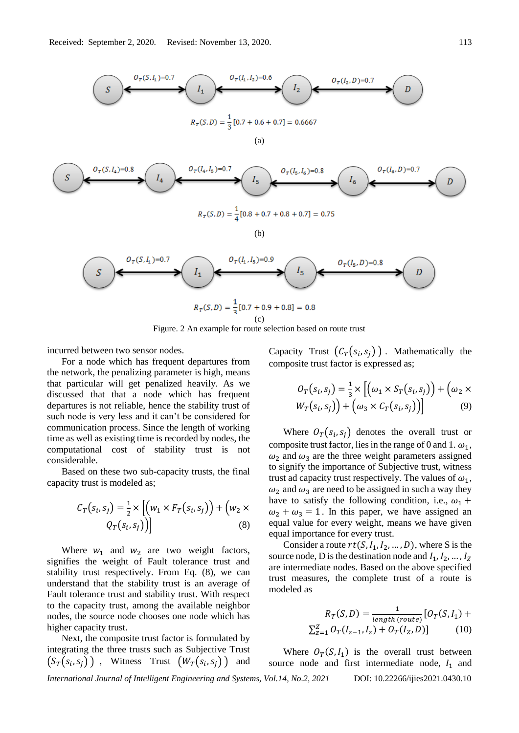

Figure. 2 An example for route selection based on route trust

incurred between two sensor nodes.

For a node which has frequent departures from the network, the penalizing parameter is high, means that particular will get penalized heavily. As we discussed that that a node which has frequent departures is not reliable, hence the stability trust of such node is very less and it can't be considered for communication process. Since the length of working time as well as existing time is recorded by nodes, the computational cost of stability trust is not considerable.

Based on these two sub-capacity trusts, the final capacity trust is modeled as;

$$
C_T(s_i, s_j) = \frac{1}{2} \times \left[ \left( w_1 \times F_T(s_i, s_j) \right) + \left( w_2 \times Q_T(s_i, s_j) \right) \right]
$$
\n(8)

Where  $w_1$  and  $w_2$  are two weight factors, signifies the weight of Fault tolerance trust and stability trust respectively. From Eq. (8), we can understand that the stability trust is an average of Fault tolerance trust and stability trust. With respect to the capacity trust, among the available neighbor nodes, the source node chooses one node which has higher capacity trust.

Next, the composite trust factor is formulated by integrating the three trusts such as Subjective Trust  $(S_T(s_i, s_j))$ , Witness Trust  $(W_T(s_i, s_j))$  and

Capacity Trust  $(C_T(s_i, s_j))$ . Mathematically the composite trust factor is expressed as;

$$
O_T(s_i, s_j) = \frac{1}{3} \times \left[ \left( \omega_1 \times S_T(s_i, s_j) \right) + \left( \omega_2 \times W_T(s_i, s_j) \right) + \left( \omega_3 \times C_T(s_i, s_j) \right) \right]
$$
(9)

Where  $O_T(s_i, s_j)$  denotes the overall trust or composite trust factor, lies in the range of 0 and 1.  $\omega_1$ ,  $\omega_2$  and  $\omega_3$  are the three weight parameters assigned to signify the importance of Subjective trust, witness trust ad capacity trust respectively. The values of  $\omega_1$ ,  $\omega_2$  and  $\omega_3$  are need to be assigned in such a way they have to satisfy the following condition, i.e.,  $\omega_1$  +  $\omega_2 + \omega_3 = 1$ . In this paper, we have assigned an equal value for every weight, means we have given equal importance for every trust.

Consider a route  $rt(S, I_1, I_2, ..., D)$ , where S is the source node, D is the destination node and  $I_1, I_2, \ldots, I_Z$ are intermediate nodes. Based on the above specified trust measures, the complete trust of a route is modeled as

$$
R_T(S, D) = \frac{1}{length\,(route)} [O_T(S, I_1) + \sum_{z=1}^{Z} O_T(I_{z-1}, I_z) + O_T(I_Z, D)] \tag{10}
$$

*International Journal of Intelligent Engineering and Systems, Vol.14, No.2, 2021* DOI: 10.22266/ijies2021.0430.10 Where  $O_T(S, I_1)$  is the overall trust between source node and first intermediate node,  $I_1$  and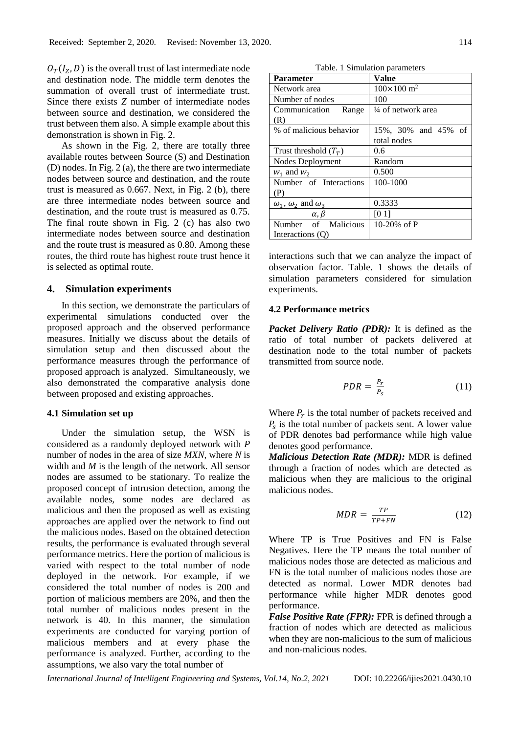$O_T(I_Z, D)$  is the overall trust of last intermediate node and destination node. The middle term denotes the summation of overall trust of intermediate trust. Since there exists *Z* number of intermediate nodes between source and destination, we considered the trust between them also. A simple example about this demonstration is shown in Fig. 2.

As shown in the Fig. 2, there are totally three available routes between Source (S) and Destination (D) nodes. In Fig. 2 (a), the there are two intermediate nodes between source and destination, and the route trust is measured as 0.667. Next, in Fig. 2 (b), there are three intermediate nodes between source and destination, and the route trust is measured as 0.75. The final route shown in Fig. 2 (c) has also two intermediate nodes between source and destination and the route trust is measured as 0.80. Among these routes, the third route has highest route trust hence it is selected as optimal route.

#### **4. Simulation experiments**

In this section, we demonstrate the particulars of experimental simulations conducted over the proposed approach and the observed performance measures. Initially we discuss about the details of simulation setup and then discussed about the performance measures through the performance of proposed approach is analyzed. Simultaneously, we also demonstrated the comparative analysis done between proposed and existing approaches.

# **4.1 Simulation set up**

Under the simulation setup, the WSN is considered as a randomly deployed network with *P*  number of nodes in the area of size *MXN*, where *N* is width and *M* is the length of the network. All sensor nodes are assumed to be stationary. To realize the proposed concept of intrusion detection, among the available nodes, some nodes are declared as malicious and then the proposed as well as existing approaches are applied over the network to find out the malicious nodes. Based on the obtained detection results, the performance is evaluated through several performance metrics. Here the portion of malicious is varied with respect to the total number of node deployed in the network. For example, if we considered the total number of nodes is 200 and portion of malicious members are 20%, and then the total number of malicious nodes present in the network is 40. In this manner, the simulation experiments are conducted for varying portion of malicious members and at every phase the performance is analyzed. Further, according to the assumptions, we also vary the total number of

Table. 1 Simulation parameters

| Parameter                              | <b>Value</b>                    |
|----------------------------------------|---------------------------------|
| Network area                           | $100 \times 100$ m <sup>2</sup> |
| Number of nodes                        | 100                             |
| Communication<br>Range                 | $\frac{1}{4}$ of network area   |
| (R)                                    |                                 |
| % of malicious behavior                | 15%, 30% and 45% of             |
|                                        | total nodes                     |
| Trust threshold $(T_T)$                | 0.6                             |
| Nodes Deployment                       | Random                          |
| $W_1$ and $W_2$                        | 0.500                           |
| Number of Interactions                 | 100-1000                        |
| (P)                                    |                                 |
| $\omega_1$ , $\omega_2$ and $\omega_3$ | 0.3333                          |
| $\alpha, \beta$                        | [01]                            |
| Number of Malicious                    | 10-20\% of $P$                  |
| Interactions (O)                       |                                 |

interactions such that we can analyze the impact of observation factor. Table. 1 shows the details of simulation parameters considered for simulation experiments.

# **4.2 Performance metrics**

*Packet Delivery Ratio (PDR):* It is defined as the ratio of total number of packets delivered at destination node to the total number of packets transmitted from source node.

$$
PDR = \frac{P_r}{P_s} \tag{11}
$$

Where  $P_r$  is the total number of packets received and  $P_s$  is the total number of packets sent. A lower value of PDR denotes bad performance while high value denotes good performance.

*Malicious Detection Rate (MDR):* MDR is defined through a fraction of nodes which are detected as malicious when they are malicious to the original malicious nodes.

$$
MDR = \frac{TP}{TP + FN} \tag{12}
$$

Where TP is True Positives and FN is False Negatives. Here the TP means the total number of malicious nodes those are detected as malicious and FN is the total number of malicious nodes those are detected as normal. Lower MDR denotes bad performance while higher MDR denotes good performance.

*False Positive Rate (FPR):* FPR is defined through a fraction of nodes which are detected as malicious when they are non-malicious to the sum of malicious and non-malicious nodes.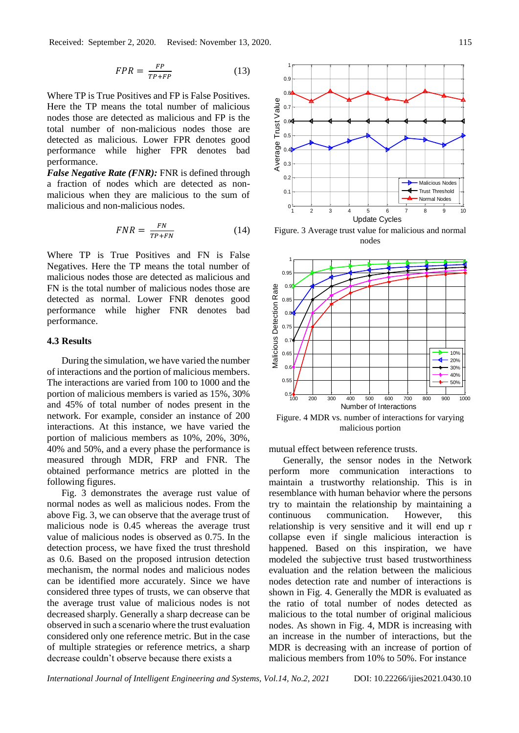$$
FPR = \frac{FP}{TP + FP} \tag{13}
$$

Where TP is True Positives and FP is False Positives. Here the TP means the total number of malicious nodes those are detected as malicious and FP is the total number of non-malicious nodes those are detected as malicious. Lower FPR denotes good performance while higher FPR denotes bad performance.

*False Negative Rate (FNR):* FNR is defined through a fraction of nodes which are detected as nonmalicious when they are malicious to the sum of malicious and non-malicious nodes.

$$
FNR = \frac{FN}{TP+FN} \tag{14}
$$

Where TP is True Positives and FN is False Negatives. Here the TP means the total number of malicious nodes those are detected as malicious and FN is the total number of malicious nodes those are detected as normal. Lower FNR denotes good performance while higher FNR denotes bad performance.

# **4.3 Results**

During the simulation, we have varied the number of interactions and the portion of malicious members. The interactions are varied from 100 to 1000 and the portion of malicious members is varied as 15%, 30% and 45% of total number of nodes present in the network. For example, consider an instance of 200 interactions. At this instance, we have varied the portion of malicious members as 10%, 20%, 30%, 40% and 50%, and a every phase the performance is measured through MDR, FRP and FNR. The obtained performance metrics are plotted in the following figures.

Fig. 3 demonstrates the average rust value of normal nodes as well as malicious nodes. From the above Fig. 3, we can observe that the average trust of malicious node is 0.45 whereas the average trust value of malicious nodes is observed as 0.75. In the detection process, we have fixed the trust threshold as 0.6. Based on the proposed intrusion detection mechanism, the normal nodes and malicious nodes can be identified more accurately. Since we have considered three types of trusts, we can observe that the average trust value of malicious nodes is not decreased sharply. Generally a sharp decrease can be observed in such a scenario where the trust evaluation considered only one reference metric. But in the case of multiple strategies or reference metrics, a sharp decrease couldn't observe because there exists a



Figure. 3 Average trust value for malicious and normal nodes



Figure. 4 MDR vs. number of interactions for varying malicious portion

mutual effect between reference trusts.

Generally, the sensor nodes in the Network perform more communication interactions to maintain a trustworthy relationship. This is in resemblance with human behavior where the persons try to maintain the relationship by maintaining a continuous communication. However, this relationship is very sensitive and it will end up r collapse even if single malicious interaction is happened. Based on this inspiration, we have modeled the subjective trust based trustworthiness evaluation and the relation between the malicious nodes detection rate and number of interactions is shown in Fig. 4. Generally the MDR is evaluated as the ratio of total number of nodes detected as malicious to the total number of original malicious nodes. As shown in Fig. 4, MDR is increasing with an increase in the number of interactions, but the MDR is decreasing with an increase of portion of malicious members from 10% to 50%. For instance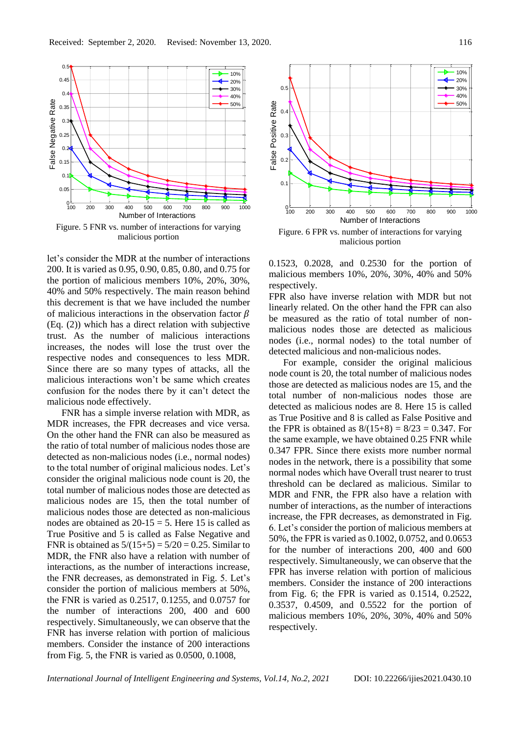

let's consider the MDR at the number of interactions 200. It is varied as 0.95, 0.90, 0.85, 0.80, and 0.75 for the portion of malicious members 10%, 20%, 30%, 40% and 50% respectively. The main reason behind this decrement is that we have included the number of malicious interactions in the observation factor  $\beta$ (Eq. (2)) which has a direct relation with subjective trust. As the number of malicious interactions increases, the nodes will lose the trust over the respective nodes and consequences to less MDR. Since there are so many types of attacks, all the malicious interactions won't be same which creates confusion for the nodes there by it can't detect the malicious node effectively.

FNR has a simple inverse relation with MDR, as MDR increases, the FPR decreases and vice versa. On the other hand the FNR can also be measured as the ratio of total number of malicious nodes those are detected as non-malicious nodes (i.e., normal nodes) to the total number of original malicious nodes. Let's consider the original malicious node count is 20, the total number of malicious nodes those are detected as malicious nodes are 15, then the total number of malicious nodes those are detected as non-malicious nodes are obtained as  $20-15 = 5$ . Here 15 is called as True Positive and 5 is called as False Negative and FNR is obtained as  $5/(15+5) = 5/20 = 0.25$ . Similar to MDR, the FNR also have a relation with number of interactions, as the number of interactions increase, the FNR decreases, as demonstrated in Fig. 5. Let's consider the portion of malicious members at 50%, the FNR is varied as 0.2517, 0.1255, and 0.0757 for the number of interactions 200, 400 and 600 respectively. Simultaneously, we can observe that the FNR has inverse relation with portion of malicious members. Consider the instance of 200 interactions from Fig. 5, the FNR is varied as 0.0500, 0.1008,



malicious portion

0.1523, 0.2028, and 0.2530 for the portion of malicious members 10%, 20%, 30%, 40% and 50% respectively.

FPR also have inverse relation with MDR but not linearly related. On the other hand the FPR can also be measured as the ratio of total number of nonmalicious nodes those are detected as malicious nodes (i.e., normal nodes) to the total number of detected malicious and non-malicious nodes.

For example, consider the original malicious node count is 20, the total number of malicious nodes those are detected as malicious nodes are 15, and the total number of non-malicious nodes those are detected as malicious nodes are 8. Here 15 is called as True Positive and 8 is called as False Positive and the FPR is obtained as  $8/(15+8) = 8/23 = 0.347$ . For the same example, we have obtained 0.25 FNR while 0.347 FPR. Since there exists more number normal nodes in the network, there is a possibility that some normal nodes which have Overall trust nearer to trust threshold can be declared as malicious. Similar to MDR and FNR, the FPR also have a relation with number of interactions, as the number of interactions increase, the FPR decreases, as demonstrated in Fig. 6. Let's consider the portion of malicious members at 50%, the FPR is varied as 0.1002, 0.0752, and 0.0653 for the number of interactions 200, 400 and 600 respectively. Simultaneously, we can observe that the FPR has inverse relation with portion of malicious members. Consider the instance of 200 interactions from Fig. 6; the FPR is varied as 0.1514, 0.2522, 0.3537, 0.4509, and 0.5522 for the portion of malicious members 10%, 20%, 30%, 40% and 50% respectively.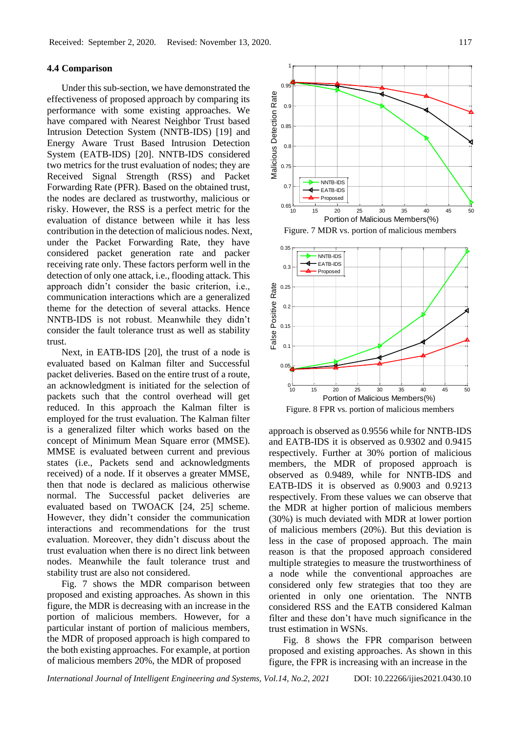#### **4.4 Comparison**

Under this sub-section, we have demonstrated the effectiveness of proposed approach by comparing its performance with some existing approaches. We have compared with Nearest Neighbor Trust based Intrusion Detection System (NNTB-IDS) [19] and Energy Aware Trust Based Intrusion Detection System (EATB-IDS) [20]. NNTB-IDS considered two metrics for the trust evaluation of nodes; they are Received Signal Strength (RSS) and Packet Forwarding Rate (PFR). Based on the obtained trust, the nodes are declared as trustworthy, malicious or risky. However, the RSS is a perfect metric for the evaluation of distance between while it has less contribution in the detection of malicious nodes. Next, under the Packet Forwarding Rate, they have considered packet generation rate and packer receiving rate only. These factors perform well in the detection of only one attack, i.e., flooding attack. This approach didn't consider the basic criterion, i.e., communication interactions which are a generalized theme for the detection of several attacks. Hence NNTB-IDS is not robust. Meanwhile they didn't consider the fault tolerance trust as well as stability trust.

Next, in EATB-IDS [20], the trust of a node is evaluated based on Kalman filter and Successful packet deliveries. Based on the entire trust of a route, an acknowledgment is initiated for the selection of packets such that the control overhead will get reduced. In this approach the Kalman filter is employed for the trust evaluation. The Kalman filter is a generalized filter which works based on the concept of Minimum Mean Square error (MMSE). MMSE is evaluated between current and previous states (i.e., Packets send and acknowledgments received) of a node. If it observes a greater MMSE, then that node is declared as malicious otherwise normal. The Successful packet deliveries are evaluated based on TWOACK [24, 25] scheme. However, they didn't consider the communication interactions and recommendations for the trust evaluation. Moreover, they didn't discuss about the trust evaluation when there is no direct link between nodes. Meanwhile the fault tolerance trust and stability trust are also not considered.

Fig. 7 shows the MDR comparison between proposed and existing approaches. As shown in this figure, the MDR is decreasing with an increase in the portion of malicious members. However, for a particular instant of portion of malicious members, the MDR of proposed approach is high compared to the both existing approaches. For example, at portion of malicious members 20%, the MDR of proposed



approach is observed as 0.9556 while for NNTB-IDS and EATB-IDS it is observed as 0.9302 and 0.9415 respectively. Further at 30% portion of malicious members, the MDR of proposed approach is observed as 0.9489, while for NNTB-IDS and EATB-IDS it is observed as 0.9003 and 0.9213 respectively. From these values we can observe that the MDR at higher portion of malicious members (30%) is much deviated with MDR at lower portion of malicious members (20%). But this deviation is less in the case of proposed approach. The main reason is that the proposed approach considered multiple strategies to measure the trustworthiness of a node while the conventional approaches are considered only few strategies that too they are oriented in only one orientation. The NNTB considered RSS and the EATB considered Kalman filter and these don't have much significance in the trust estimation in WSNs.

Fig. 8 shows the FPR comparison between proposed and existing approaches. As shown in this figure, the FPR is increasing with an increase in the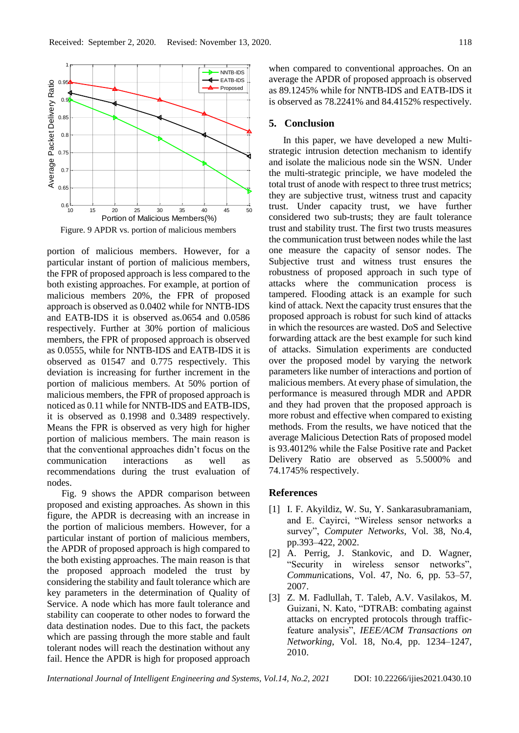

Figure. 9 APDR vs. portion of malicious members

portion of malicious members. However, for a particular instant of portion of malicious members, the FPR of proposed approach is less compared to the both existing approaches. For example, at portion of malicious members 20%, the FPR of proposed approach is observed as 0.0402 while for NNTB-IDS and EATB-IDS it is observed as.0654 and 0.0586 respectively. Further at 30% portion of malicious members, the FPR of proposed approach is observed as 0.0555, while for NNTB-IDS and EATB-IDS it is observed as 01547 and 0.775 respectively. This deviation is increasing for further increment in the portion of malicious members. At 50% portion of malicious members, the FPR of proposed approach is noticed as 0.11 while for NNTB-IDS and EATB-IDS, it is observed as 0.1998 and 0.3489 respectively. Means the FPR is observed as very high for higher portion of malicious members. The main reason is that the conventional approaches didn't focus on the communication interactions as well as recommendations during the trust evaluation of nodes.

Fig. 9 shows the APDR comparison between proposed and existing approaches. As shown in this figure, the APDR is decreasing with an increase in the portion of malicious members. However, for a particular instant of portion of malicious members, the APDR of proposed approach is high compared to the both existing approaches. The main reason is that the proposed approach modeled the trust by considering the stability and fault tolerance which are key parameters in the determination of Quality of Service. A node which has more fault tolerance and stability can cooperate to other nodes to forward the data destination nodes. Due to this fact, the packets which are passing through the more stable and fault tolerant nodes will reach the destination without any fail. Hence the APDR is high for proposed approach

when compared to conventional approaches. On an average the APDR of proposed approach is observed as 89.1245% while for NNTB-IDS and EATB-IDS it is observed as 78.2241% and 84.4152% respectively.

### **5. Conclusion**

In this paper, we have developed a new Multistrategic intrusion detection mechanism to identify and isolate the malicious node sin the WSN. Under the multi-strategic principle, we have modeled the total trust of anode with respect to three trust metrics; they are subjective trust, witness trust and capacity trust. Under capacity trust, we have further considered two sub-trusts; they are fault tolerance trust and stability trust. The first two trusts measures the communication trust between nodes while the last one measure the capacity of sensor nodes. The Subjective trust and witness trust ensures the robustness of proposed approach in such type of attacks where the communication process is tampered. Flooding attack is an example for such kind of attack. Next the capacity trust ensures that the proposed approach is robust for such kind of attacks in which the resources are wasted. DoS and Selective forwarding attack are the best example for such kind of attacks. Simulation experiments are conducted over the proposed model by varying the network parameters like number of interactions and portion of malicious members. At every phase of simulation, the performance is measured through MDR and APDR and they had proven that the proposed approach is more robust and effective when compared to existing methods. From the results, we have noticed that the average Malicious Detection Rats of proposed model is 93.4012% while the False Positive rate and Packet Delivery Ratio are observed as 5.5000% and 74.1745% respectively.

#### **References**

- [1] I. F. Akyildiz, W. Su, Y. Sankarasubramaniam, and E. Cayirci, "Wireless sensor networks a survey", *Computer Networks,* Vol. 38, No.4, pp.393–422, 2002.
- [2] A. Perrig, J. Stankovic, and D. Wagner, "Security in wireless sensor networks", *Commun*ications, Vol. 47, No. 6, pp. 53–57, 2007.
- [3] Z. M. Fadlullah, T. Taleb, A.V. Vasilakos, M. Guizani, N. Kato, "DTRAB: combating against attacks on encrypted protocols through trafficfeature analysis", *IEEE/ACM Transactions on Networking*, Vol. 18, No.4, pp. 1234–1247, 2010.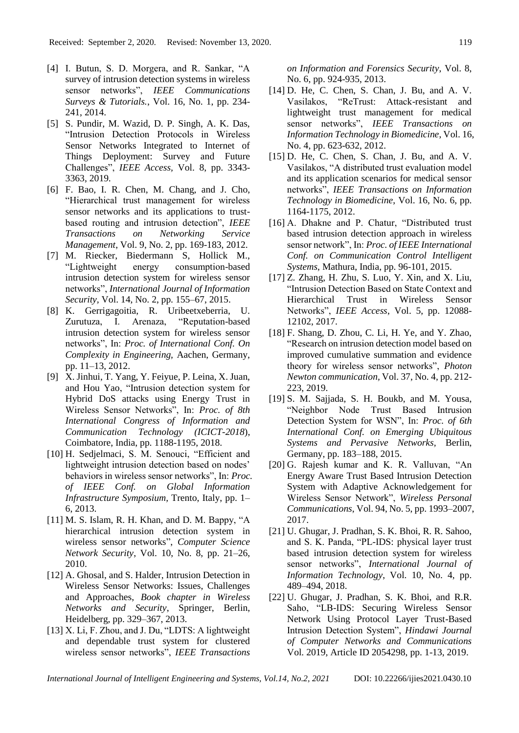- [4] I. Butun, S. D. Morgera, and R. Sankar, "A survey of intrusion detection systems in wireless sensor networks", *IEEE Communications Surveys & Tutorials.*, Vol. 16, No. 1, pp. 234- 241, 2014.
- [5] S. Pundir, M. Wazid, D. P. Singh, A. K. Das, "Intrusion Detection Protocols in Wireless Sensor Networks Integrated to Internet of Things Deployment: Survey and Future Challenges", *IEEE Access,* Vol. 8, pp. 3343- 3363, 2019.
- [6] F. Bao, I. R. Chen, M. Chang, and J. Cho, "Hierarchical trust management for wireless sensor networks and its applications to trustbased routing and intrusion detection", *IEEE Transactions on Networking Service Management*, Vol. 9, No. 2, pp. 169-183, 2012.
- [7] M. Riecker, Biedermann S, Hollick M., "Lightweight energy consumption-based intrusion detection system for wireless sensor networks", *International Journal of Information Security,* Vol. 14, No. 2, pp. 155–67, 2015.
- [8] K. Gerrigagoitia, R. Uribeetxeberria, U. Zurutuza, I. Arenaza, "Reputation-based intrusion detection system for wireless sensor networks", In: *Proc. of International Conf. On Complexity in Engineering,* Aachen, Germany, pp. 11–13, 2012.
- [9] X. Jinhui, T. Yang, Y. Feiyue, P. Leina, X. Juan, and Hou Yao, "Intrusion detection system for Hybrid DoS attacks using Energy Trust in Wireless Sensor Networks", In: *Proc. of 8th International Congress of Information and Communication Technology (ICICT-2018*), Coimbatore, India, pp. 1188-1195, 2018.
- [10] H. Sedjelmaci, S. M. Senouci, "Efficient and lightweight intrusion detection based on nodes' behaviors in wireless sensor networks", In: *Proc. of IEEE Conf. on Global Information Infrastructure Symposium,* Trento, Italy, pp. 1– 6, 2013.
- $[11]$  M. S. Islam, R. H. Khan, and D. M. Bappy, "A hierarchical intrusion detection system in wireless sensor networks", *Computer Science Network Security*, Vol. 10, No. 8, pp. 21–26, 2010.
- [12] A. Ghosal, and S. Halder, Intrusion Detection in Wireless Sensor Networks: Issues, Challenges and Approaches, *Book chapter in Wireless Networks and Security*, Springer, Berlin, Heidelberg, pp. 329–367, 2013.
- [13] X. Li, F. Zhou, and J. Du, "LDTS: A lightweight and dependable trust system for clustered wireless sensor networks", *IEEE Transactions*

*on Information and Forensics Security*, Vol. 8, No. 6, pp. 924-935, 2013.

- [14] D. He, C. Chen, S. Chan, J. Bu, and A. V. Vasilakos, "ReTrust: Attack-resistant and lightweight trust management for medical sensor networks", *IEEE Transactions on Information Technology in Biomedicine*, Vol. 16, No. 4, pp. 623-632, 2012.
- [15] D. He, C. Chen, S. Chan, J. Bu, and A. V. Vasilakos, "A distributed trust evaluation model and its application scenarios for medical sensor networks", *IEEE Transactions on Information Technology in Biomedicine*, Vol. 16, No. 6, pp. 1164-1175, 2012.
- [16] A. Dhakne and P. Chatur, "Distributed trust based intrusion detection approach in wireless sensor network", In: *Proc. of IEEE International Conf. on Communication Control Intelligent Systems*, Mathura, India, pp. 96-101, 2015.
- [17] Z. Zhang, H. Zhu, S. Luo, Y. Xin, and X. Liu, "Intrusion Detection Based on State Context and Hierarchical Trust in Wireless Sensor Networks", *IEEE Access*, Vol. 5, pp. 12088- 12102, 2017.
- [18] F. Shang, D. Zhou, C. Li, H. Ye, and Y. Zhao, "Research on intrusion detection model based on improved cumulative summation and evidence theory for wireless sensor networks", *Photon Newton communication,* Vol. 37, No. 4, pp. 212- 223, 2019.
- [19] S. M. Sajjada, S. H. Boukb, and M. Yousa, "Neighbor Node Trust Based Intrusion Detection System for WSN", In: *Proc. of 6th International Conf. on Emerging Ubiquitous Systems and Pervasive Networks,* Berlin, Germany, pp. 183–188, 2015.
- [20] G. Rajesh kumar and K. R. Valluvan, "An Energy Aware Trust Based Intrusion Detection System with Adaptive Acknowledgement for Wireless Sensor Network", *Wireless Personal Communications*, Vol. 94, No. 5, pp. 1993–2007, 2017.
- [21] U. Ghugar, J. Pradhan, S. K. Bhoi, R. R. Sahoo, and S. K. Panda, "PL-IDS: physical layer trust based intrusion detection system for wireless sensor networks", *International Journal of Information Technology*, Vol. 10, No. 4, pp. 489–494, 2018.
- [22] U. Ghugar, J. Pradhan, S. K. Bhoi, and R.R. Saho, "LB-IDS: Securing Wireless Sensor Network Using Protocol Layer Trust-Based Intrusion Detection System", *Hindawi Journal of Computer Networks and Communications* Vol. 2019, Article ID 2054298, pp. 1-13, 2019.